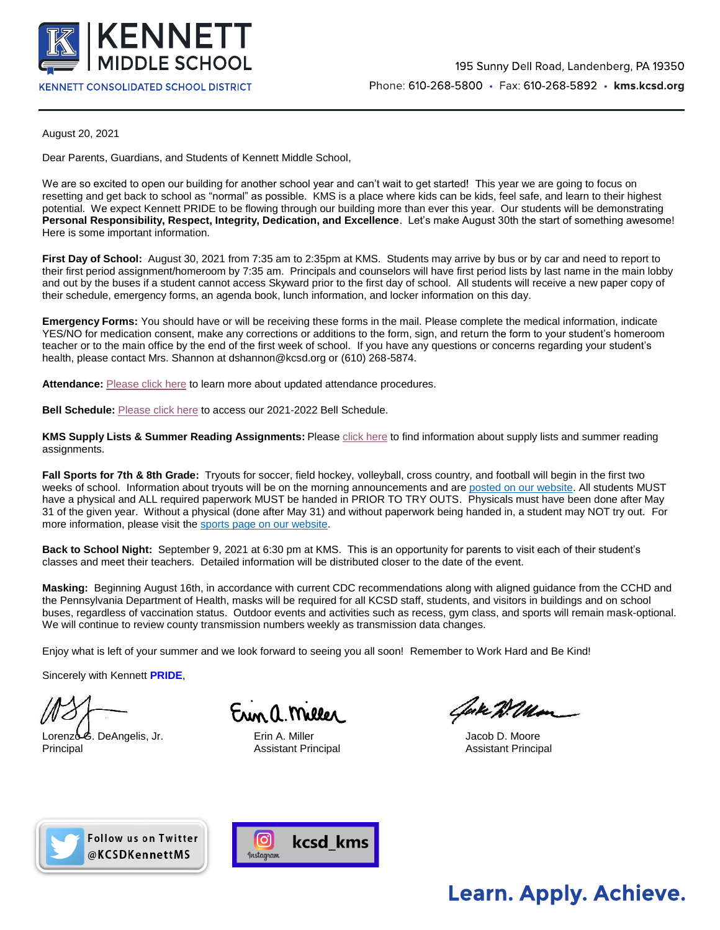

August 20, 2021

Dear Parents, Guardians, and Students of Kennett Middle School,

We are so excited to open our building for another school year and can't wait to get started! This year we are going to focus on resetting and get back to school as "normal" as possible. KMS is a place where kids can be kids, feel safe, and learn to their highest potential. We expect Kennett PRIDE to be flowing through our building more than ever this year. Our students will be demonstrating **Personal Responsibility, Respect, Integrity, Dedication, and Excellence**. Let's make August 30th the start of something awesome! Here is some important information.

**First Day of School:** August 30, 2021 from 7:35 am to 2:35pm at KMS. Students may arrive by bus or by car and need to report to their first period assignment/homeroom by 7:35 am. Principals and counselors will have first period lists by last name in the main lobby and out by the buses if a student cannot access Skyward prior to the first day of school. All students will receive a new paper copy of their schedule, emergency forms, an agenda book, lunch information, and locker information on this day.

**Emergency Forms:** You should have or will be receiving these forms in the mail. Please complete the medical information, indicate YES/NO for medication consent, make any corrections or additions to the form, sign, and return the form to your student's homeroom teacher or to the main office by the end of the first week of school. If you have any questions or concerns regarding your student's health, please contact Mrs. Shannon at dshannon@kcsd.org or (610) 268-5874.

**Attendance:** [Please click here](https://drive.google.com/file/d/1LDay1uBK5S1Yoe1sWxTyL-JX5vv3P9wT/view?usp=sharing) to learn more about updated attendance procedures.

**Bell Schedule:** [Please click here](https://drive.google.com/file/d/1tTkUU-b3XGG3grHtSz3JvjxcHOiFWO_K/view?usp=sharing) to access our 2021-2022 Bell Schedule.

**KMS Supply Lists & Summer Reading Assignments:** Pleas[e click here](https://kms.kcsd.org/school-information/kms-supply-lists-summer-assignments/) to find information about supply lists and summer reading assignments.

**Fall Sports for 7th & 8th Grade:** Tryouts for soccer, field hockey, volleyball, cross country, and football will begin in the first two weeks of school. Information about tryouts will be on the morning announcements and are [posted on our website.](https://kms.kcsd.org/news/category/daily-announcements/) All students MUST have a physical and ALL required paperwork MUST be handed in PRIOR TO TRY OUTS. Physicals must have been done after May 31 of the given year. Without a physical (done after May 31) and without paperwork being handed in, a student may NOT try out. For more information, please visit th[e sports page on our website.](https://kms.kcsd.org/sports/)

**Back to School Night:** September 9, 2021 at 6:30 pm at KMS. This is an opportunity for parents to visit each of their student's classes and meet their teachers. Detailed information will be distributed closer to the date of the event.

**Masking:** Beginning August 16th, in accordance with current CDC recommendations along with aligned guidance from the CCHD and the Pennsylvania Department of Health, masks will be required for all KCSD staff, students, and visitors in buildings and on school buses, regardless of vaccination status. Outdoor events and activities such as recess, gym class, and sports will remain mask-optional. We will continue to review county transmission numbers weekly as transmission data changes.

Enjoy what is left of your summer and we look forward to seeing you all soon! Remember to Work Hard and Be Kind!

Sincerely with Kennett **PRIDE**,

Lorenzo G. DeAngelis, Jr. **Erin A. Miller** G. And H. Moore Jacob D. Moore Principal Assistant Principal Assistant Principal

un a Meller

Cake Willa





## **Learn. Apply. Achieve.**